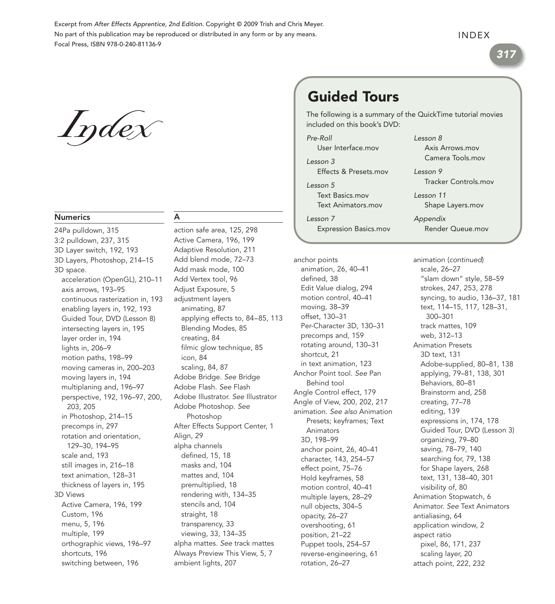Excerpt from After Effects Apprentice, 2nd Edition. Copyright © 2009 Trish and Chris Meyer. No part of this publication may be reproduced or distributed in any form or by any means. Focal Press, ISBN 978-0-240-81136-9

### INDEX

317

Index

### Numerics

24Pa pulldown, 315 3:2 pulldown, 237, 315 3D Layer switch, 192, 193 3D Layers, Photoshop, 214–15 3D space. acceleration (OpenGL), 210–11 axis arrows, 193–95 continuous rasterization in, 193 enabling layers in, 192, 193 Guided Tour, DVD (Lesson 8) intersecting layers in, 195 layer order in, 194 lights in, 206–9 motion paths, 198–99 moving cameras in, 200–203 moving layers in, 194 multiplaning and, 196–97 perspective, 192, 196–97, 200, 203, 205 in Photoshop, 214–15 precomps in, 297 rotation and orientation, 129–30, 194–95 scale and, 193 still images in, 216–18 text animation, 128–31 thickness of layers in, 195 3D Views Active Camera, 196, 199 Custom, 196 menu, 5, 196 multiple, 199 orthographic views, 196–97 shortcuts, 196 switching between, 196

### A

action safe area, 125, 298 Active Camera, 196, 199 Adaptive Resolution, 211 Add blend mode, 72–73 Add mask mode, 100 Add Vertex tool, 96 Adjust Exposure, 5 adjustment layers animating, 87 applying effects to, 84–85, 113 Blending Modes, 85 creating, 84 filmic glow technique, 85 icon, 84 scaling, 84, 87 Adobe Bridge. See Bridge Adobe Flash. See Flash Adobe Illustrator. See Illustrator Adobe Photoshop. See Photoshop After Effects Support Center, 1 Align, 29 alpha channels defined, 15, 18 masks and, 104 mattes and, 104 premultiplied, 18 rendering with, 134–35 stencils and, 104 straight, 18 transparency, 33 viewing, 33, 134–35 alpha mattes. See track mattes Always Preview This View, 5, 7 ambient lights, 207

# Guided Tours

The following is a summary of the QuickTime tutorial movies included on this book's DVD:

Lesson 8

Axis Arrows mov Camera Tools.mov

Pre-Roll User Interface.mov

Lesson 3 Effects & Presets.mov

Lesson 5 Text Basics.mov Text Animators.mov

Lesson 7

Lesson 9 Tracker Controls.mov Lesson 11 Shape Layers.mov

Expression Basics.mov Appendix Render Queue.mov

anchor points animation (continued) animation, 26, 40–41 defined, 38 Edit Value dialog, 294 motion control, 40–41 moving, 38–39 offset, 130–31 Per-Character 3D, 130–31 precomps and, 159 rotating around, 130–31 shortcut, 21 in text animation, 123 Anchor Point tool. See Pan Behind tool Angle Control effect, 179 Angle of View, 200, 202, 217 animation. See also Animation Presets; keyframes; Text Animators 3D, 198–99 anchor point, 26, 40–41 character, 143, 254–57 effect point, 75–76 Hold keyframes, 58 motion control, 40–41 multiple layers, 28–29 null objects, 304–5 opacity, 26–27 overshooting, 61 position, 21–22 Puppet tools, 254–57 reverse-engineering, 61 rotation, 26–27

scale, 26–27 "slam down" style, 58–59 strokes, 247, 253, 278 syncing, to audio, 136–37, 181 text, 114–15, 117, 128–31, 300–301 track mattes, 109 web, 312–13 Animation Presets 3D text, 131 Adobe-supplied, 80–81, 138 applying, 79–81, 138, 301 Behaviors, 80–81 Brainstorm and, 258 creating, 77–78 editing, 139 expressions in, 174, 178 Guided Tour, DVD (Lesson 3) organizing, 79–80 saving, 78–79, 140 searching for, 79, 138 for Shape layers, 268 text, 131, 138–40, 301 visibility of, 80 Animation Stopwatch, 6 Animator. See Text Animators antialiasing, 64 application window, 2 aspect ratio pixel, 86, 171, 237 scaling layer, 20 attach point, 222, 232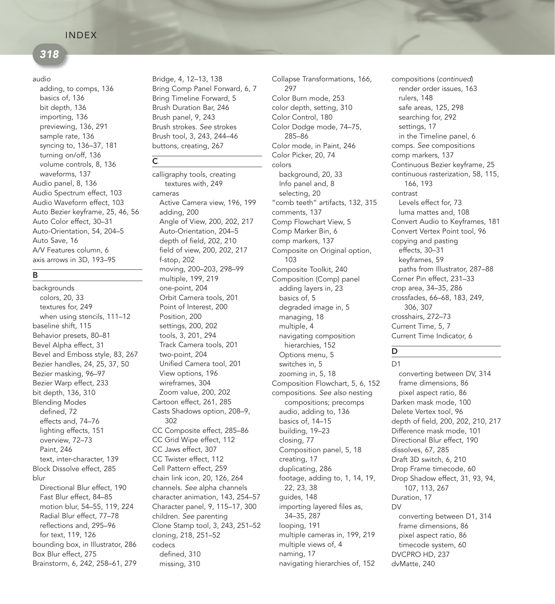## 318

### audio

adding, to comps, 136 basics of, 136 bit depth, 136 importing, 136 previewing, 136, 291 sample rate, 136 syncing to, 136–37, 181 turning on/off, 136 volume controls, 8, 136 waveforms, 137 Audio panel, 8, 136 Audio Spectrum effect, 103 Audio Waveform effect, 103 Auto Bezier keyframe, 25, 46, 56 Auto Color effect, 30–31 Auto-Orientation, 54, 204–5 Auto Save, 16 A/V Features column, 6 axis arrows in 3D, 193–95

### B

backgrounds colors, 20, 33 textures for, 249 when using stencils, 111–12 baseline shift, 115 Behavior presets, 80–81 Bevel Alpha effect, 31 Bevel and Emboss style, 83, 267 Bezier handles, 24, 25, 37, 50 Bezier masking, 96–97 Bezier Warp effect, 233 bit depth, 136, 310 Blending Modes defined, 72 effects and, 74–76 lighting effects, 151 overview, 72–73 Paint, 246 text, inter-character, 139 Block Dissolve effect, 285 blur Directional Blur effect, 190 Fast Blur effect, 84–85 motion blur, 54–55, 119, 224 Radial Blur effect, 77–78 reflections and, 295–96 for text, 119, 126 bounding box, in Illustrator, 286 Box Blur effect, 275 Brainstorm, 6, 242, 258–61, 279

Bridge, 4, 12–13, 138 Bring Comp Panel Forward, 6, 7 Bring Timeline Forward, 5 Brush Duration Bar, 246 Brush panel, 9, 243 Brush strokes. See strokes Brush tool, 3, 243, 244–46 buttons, creating, 267

 $\overline{c}$ 

calligraphy tools, creating textures with, 249 cameras Active Camera view, 196, 199 adding, 200 Angle of View, 200, 202, 217 Auto-Orientation, 204–5 depth of field, 202, 210 field of view, 200, 202, 217 f-stop, 202 moving, 200–203, 298–99 multiple, 199, 219 one-point, 204 Orbit Camera tools, 201 Point of Interest, 200 Position, 200 settings, 200, 202 tools, 3, 201, 294 Track Camera tools, 201 two-point, 204 Unified Camera tool, 201 View options, 196 wireframes, 304 Zoom value, 200, 202 Cartoon effect, 261, 285 Casts Shadows option, 208–9, 302 CC Composite effect, 285–86 CC Grid Wipe effect, 112 CC Jaws effect, 307 CC Twister effect, 112 Cell Pattern effect, 259 chain link icon, 20, 126, 264 channels. See alpha channels character animation, 143, 254–57 Character panel, 9, 115–17, 300 children. See parenting Clone Stamp tool, 3, 243, 251–52 cloning, 218, 251–52 codecs defined, 310 missing, 310

Collapse Transformations, 166, 297 Color Burn mode, 253 color depth, setting, 310 Color Control, 180 Color Dodge mode, 74–75, 285–86 Color mode, in Paint, 246 Color Picker, 20, 74 colors background, 20, 33 Info panel and, 8 selecting, 20 "comb teeth" artifacts, 132, 315 comments, 137 Comp Flowchart View, 5 Comp Marker Bin, 6 comp markers, 137 Composite on Original option, 103 Composite Toolkit, 240 Composition (Comp) panel adding layers in, 23 basics of, 5 degraded image in, 5 managing, 18 multiple, 4 navigating composition hierarchies, 152 Options menu, 5 switches in, 5 zooming in, 5, 18 Composition Flowchart, 5, 6, 152 compositions. See also nesting compositions; precomps audio, adding to, 136 basics of, 14–15 building, 19–23 closing, 77 Composition panel, 5, 18 creating, 17 duplicating, 286 footage, adding to, 1, 14, 19, 22, 23, 38 guides, 148 importing layered files as, 34–35, 287 looping, 191 multiple cameras in, 199, 219 multiple views of, 4 naming, 17 navigating hierarchies of, 152

render order issues, 163 rulers, 148 safe areas, 125, 298 searching for, 292 settings, 17 in the Timeline panel, 6 comps. See compositions comp markers, 137 Continuous Bezier keyframe, 25 continuous rasterization, 58, 115, 166, 193 contrast Levels effect for, 73 luma mattes and, 108 Convert Audio to Keyframes, 181 Convert Vertex Point tool, 96 copying and pasting effects, 30–31 keyframes, 59 paths from Illustrator, 287–88 Corner Pin effect, 231–33 crop area, 34–35, 286 crossfades, 66–68, 183, 249, 306, 307 crosshairs, 272–73 Current Time, 5, 7 Current Time Indicator, 6 compositions (continued)

### D D1

converting between DV, 314 frame dimensions, 86 pixel aspect ratio, 86 Darken mask mode, 100 Delete Vertex tool, 96 depth of field, 200, 202, 210, 217 Difference mask mode, 101 Directional Blur effect, 190 dissolves, 67, 285 Draft 3D switch, 6, 210 Drop Frame timecode, 60 Drop Shadow effect, 31, 93, 94, 107, 113, 267 Duration, 17 DV converting between D1, 314 frame dimensions, 86 pixel aspect ratio, 86 timecode system, 60 DVCPRO HD, 237 dvMatte, 240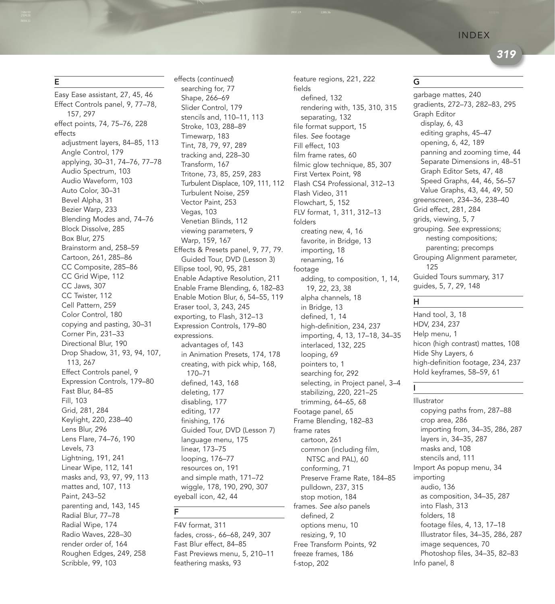319

### E

Easy Ease assistant, 27, 45, 46 Effect Controls panel, 9, 77–78, 157, 297 effect points, 74, 75–76, 228 effects adjustment layers, 84–85, 113 Angle Control, 179 applying, 30–31, 74–76, 77–78 Audio Spectrum, 103 Audio Waveform, 103 Auto Color, 30–31 Bevel Alpha, 31 Bezier Warp, 233 Blending Modes and, 74–76 Block Dissolve, 285 Box Blur, 275 Brainstorm and, 258–59 Cartoon, 261, 285–86 CC Composite, 285–86 CC Grid Wipe, 112 CC Jaws, 307 CC Twister, 112 Cell Pattern, 259 Color Control, 180 copying and pasting, 30–31 Corner Pin, 231–33 Directional Blur, 190 Drop Shadow, 31, 93, 94, 107, 113, 267 Effect Controls panel, 9 Expression Controls, 179–80 Fast Blur, 84–85 Fill, 103 Grid, 281, 284 Keylight, 220, 238–40 Lens Blur, 296 Lens Flare, 74–76, 190 Levels, 73 Lightning, 191, 241 Linear Wipe, 112, 141 masks and, 93, 97, 99, 113 mattes and, 107, 113 Paint, 243–52 parenting and, 143, 145 Radial Blur, 77–78 Radial Wipe, 174 Radio Waves, 228–30 render order of, 164 Roughen Edges, 249, 258 Scribble, 99, 103

searching for, 77 Shape, 266–69 Slider Control, 179 stencils and, 110–11, 113 Stroke, 103, 288–89 Timewarp, 183 Tint, 78, 79, 97, 289 tracking and, 228–30 Transform, 167 Tritone, 73, 85, 259, 283 Turbulent Displace, 109, 111, 112 Turbulent Noise, 259 Vector Paint, 253 Vegas, 103 Venetian Blinds, 112 viewing parameters, 9 Warp, 159, 167 Effects & Presets panel, 9, 77, 79. Guided Tour, DVD (Lesson 3) Ellipse tool, 90, 95, 281 Enable Adaptive Resolution, 211 Enable Frame Blending, 6, 182–83 Enable Motion Blur, 6, 54–55, 119 Eraser tool, 3, 243, 245 exporting, to Flash, 312–13 Expression Controls, 179–80 expressions. advantages of, 143 in Animation Presets, 174, 178 creating, with pick whip, 168, 170–71 defined, 143, 168 deleting, 177 disabling, 177 editing, 177 finishing, 176 Guided Tour, DVD (Lesson 7) language menu, 175 linear, 173–75 looping, 176–77 resources on, 191 and simple math, 171–72 wiggle, 178, 190, 290, 307 eyeball icon, 42, 44 effects (continued)

F

F4V format, 311 fades, cross-, 66–68, 249, 307 Fast Blur effect, 84–85 Fast Previews menu, 5, 210–11 feathering masks, 93

feature regions, 221, 222 fields defined, 132 rendering with, 135, 310, 315 separating, 132 file format support, 15 files. See footage Fill effect, 103 film frame rates, 60 filmic glow technique, 85, 307 First Vertex Point, 98 Flash CS4 Professional, 312–13 Flash Video, 311 Flowchart, 5, 152 FLV format, 1, 311, 312–13 folders creating new, 4, 16 favorite, in Bridge, 13 importing, 18 renaming, 16 footage adding, to composition, 1, 14, 19, 22, 23, 38 alpha channels, 18 in Bridge, 13 defined, 1, 14 high-definition, 234, 237 importing, 4, 13, 17–18, 34–35 interlaced, 132, 225 looping, 69 pointers to, 1 searching for, 292 selecting, in Project panel, 3–4 stabilizing, 220, 221–25 trimming, 64–65, 68 Footage panel, 65 Frame Blending, 182–83 frame rates cartoon, 261 common (including film, NTSC and PAL), 60 conforming, 71 Preserve Frame Rate, 184–85 pulldown, 237, 315 stop motion, 184 frames. See also panels defined, 2 options menu, 10 resizing, 9, 10 Free Transform Points, 92 freeze frames, 186 f-stop, 202

### G

garbage mattes, 240 gradients, 272–73, 282–83, 295 Graph Editor display, 6, 43 editing graphs, 45–47 opening, 6, 42, 189 panning and zooming time, 44 Separate Dimensions in, 48–51 Graph Editor Sets, 47, 48 Speed Graphs, 44, 46, 56–57 Value Graphs, 43, 44, 49, 50 greenscreen, 234–36, 238–40 Grid effect, 281, 284 grids, viewing, 5, 7 grouping. See expressions; nesting compositions; parenting; precomps Grouping Alignment parameter, 125 Guided Tours summary, 317 guides, 5, 7, 29, 148

### H

I

Hand tool, 3, 18 HDV, 234, 237 Help menu, 1 hicon (high contrast) mattes, 108 Hide Shy Layers, 6 high-definition footage, 234, 237 Hold keyframes, 58–59, 61

Illustrator copying paths from, 287–88 crop area, 286 importing from, 34–35, 286, 287 layers in, 34–35, 287 masks and, 108 stencils and, 111 Import As popup menu, 34 importing audio, 136 as composition, 34–35, 287 into Flash, 313 folders, 18 footage files, 4, 13, 17–18 Illustrator files, 34–35, 286, 287 image sequences, 70 Photoshop files, 34–35, 82–83 Info panel, 8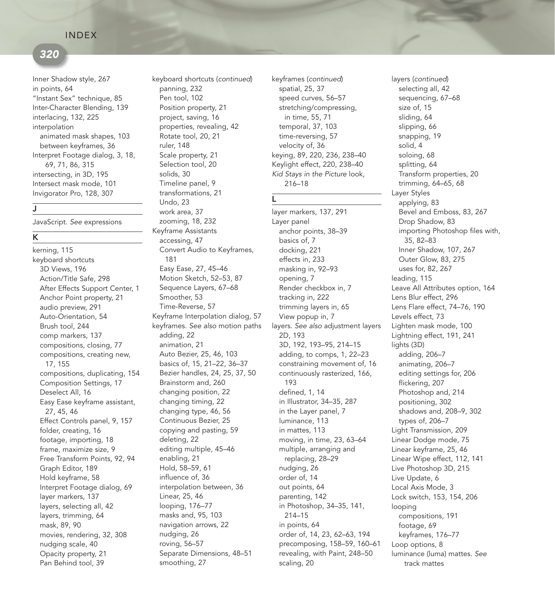## 320

Inner Shadow style, 267 in points, 64 "Instant Sex" technique, 85 Inter-Character Blending, 139 interlacing, 132, 225 interpolation animated mask shapes, 103 between keyframes, 36 Interpret Footage dialog, 3, 18, 69, 71, 86, 315 intersecting, in 3D, 195 Intersect mask mode, 101 Invigorator Pro, 128, 307

### J

JavaScript. See expressions

### K

kerning, 115 keyboard shortcuts 3D Views, 196 Action/Title Safe, 298 After Effects Support Center, 1 Anchor Point property, 21 audio preview, 291 Auto-Orientation, 54 Brush tool, 244 comp markers, 137 compositions, closing, 77 compositions, creating new, 17, 155 compositions, duplicating, 154 Composition Settings, 17 Deselect All, 16 Easy Ease keyframe assistant, 27, 45, 46 Effect Controls panel, 9, 157 folder, creating, 16 footage, importing, 18 frame, maximize size, 9 Free Transform Points, 92, 94 Graph Editor, 189 Hold keyframe, 58 Interpret Footage dialog, 69 layer markers, 137 layers, selecting all, 42 layers, trimming, 64 mask, 89, 90 movies, rendering, 32, 308 nudging scale, 40 Opacity property, 21 Pan Behind tool, 39

panning, 232 Pen tool, 102 Position property, 21 project, saving, 16 properties, revealing, 42 Rotate tool, 20, 21 ruler, 148 Scale property, 21 Selection tool, 20 solids, 30 Timeline panel, 9 transformations, 21 Undo, 23 work area, 37 zooming, 18, 232 Keyframe Assistants accessing, 47 Convert Audio to Keyframes, 181 Easy Ease, 27, 45–46 Motion Sketch, 52–53, 87 Sequence Layers, 67–68 Smoother, 53 Time-Reverse, 57 Keyframe Interpolation dialog, 57 keyframes. See also motion paths adding, 22 animation, 21 Auto Bezier, 25, 46, 103 basics of, 15, 21–22, 36–37 Bezier handles, 24, 25, 37, 50 Brainstorm and, 260 changing position, 22 changing timing, 22 changing type, 46, 56 Continuous Bezier, 25 copying and pasting, 59 deleting, 22 editing multiple, 45–46 enabling, 21 Hold, 58–59, 61 influence of, 36 interpolation between, 36 Linear, 25, 46 looping, 176–77 masks and, 95, 103 navigation arrows, 22 nudging, 26 roving, 56–57 Separate Dimensions, 48–51 smoothing, 27

spatial, 25, 37 speed curves, 56–57 stretching/compressing, in time, 55, 71 temporal, 37, 103 time-reversing, 57 velocity of, 36 keying, 89, 220, 236, 238–40 Keylight effect, 220, 238–40 Kid Stays in the Picture look, 216–18 keyboard shortcuts (continued) keyframes (continued) layers (continued)

L

layer markers, 137, 291 Layer panel anchor points, 38–39 basics of, 7 docking, 221 effects in, 233 masking in, 92–93 opening, 7 Render checkbox in, 7 tracking in, 222 trimming layers in, 65 View popup in, 7 layers. See also adjustment layers 2D, 193 3D, 192, 193–95, 214–15 adding, to comps, 1, 22–23 constraining movement of, 16 continuously rasterized, 166, 193 defined, 1, 14 in Illustrator, 34–35, 287 in the Layer panel, 7 luminance, 113 in mattes, 113 moving, in time, 23, 63–64 multiple, arranging and replacing, 28–29 nudging, 26 order of, 14 out points, 64 parenting, 142 in Photoshop, 34–35, 141, 214–15 in points, 64 order of, 14, 23, 62–63, 194 precomposing, 158–59, 160–61 revealing, with Paint, 248–50 scaling, 20

selecting all, 42 sequencing, 67–68 size of, 15 sliding, 64 slipping, 66 snapping, 19 solid, 4 soloing, 68 splitting, 64 Transform properties, 20 trimming, 64–65, 68 Layer Styles applying, 83 Bevel and Emboss, 83, 267 Drop Shadow, 83 importing Photoshop files with, 35, 82–83 Inner Shadow, 107, 267 Outer Glow, 83, 275 uses for, 82, 267 leading, 115 Leave All Attributes option, 164 Lens Blur effect, 296 Lens Flare effect, 74–76, 190 Levels effect, 73 Lighten mask mode, 100 Lightning effect, 191, 241 lights (3D) adding, 206–7 animating, 206–7 editing settings for, 206 flickering, 207 Photoshop and, 214 positioning, 302 shadows and, 208–9, 302 types of, 206–7 Light Transmission, 209 Linear Dodge mode, 75 Linear keyframe, 25, 46 Linear Wipe effect, 112, 141 Live Photoshop 3D, 215 Live Update, 6 Local Axis Mode, 3 Lock switch, 153, 154, 206 looping compositions, 191 footage, 69 keyframes, 176–77 Loop options, 8 luminance (luma) mattes. See track mattes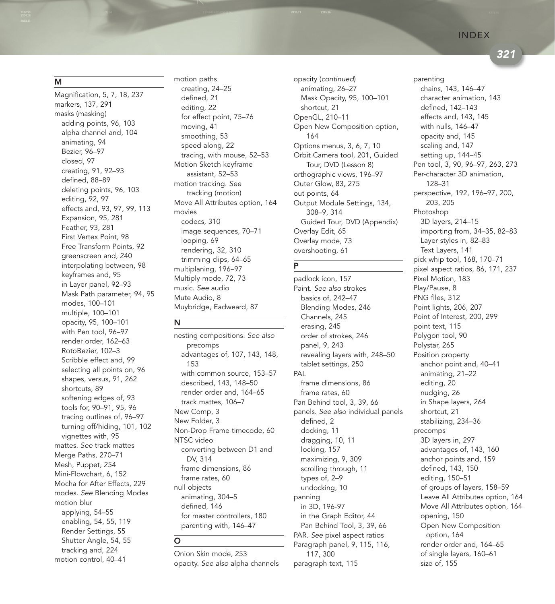321

M

Magnification, 5, 7, 18, 237 markers, 137, 291 masks (masking) adding points, 96, 103 alpha channel and, 104 animating, 94 Bezier, 96–97 closed, 97 creating, 91, 92–93 defined, 88–89 deleting points, 96, 103 editing, 92, 97 effects and, 93, 97, 99, 113 Expansion, 95, 281 Feather, 93, 281 First Vertex Point, 98 Free Transform Points, 92 greenscreen and, 240 interpolating between, 98 keyframes and, 95 in Layer panel, 92–93 Mask Path parameter, 94, 95 modes, 100–101 multiple, 100–101 opacity, 95, 100–101 with Pen tool, 96–97 render order, 162–63 RotoBezier, 102–3 Scribble effect and, 99 selecting all points on, 96 shapes, versus, 91, 262 shortcuts, 89 softening edges of, 93 tools for, 90–91, 95, 96 tracing outlines of, 96–97 turning off/hiding, 101, 102 vignettes with, 95 mattes. See track mattes Merge Paths, 270–71 Mesh, Puppet, 254 Mini-Flowchart, 6, 152 Mocha for After Effects, 229 modes. See Blending Modes motion blur applying, 54–55 enabling, 54, 55, 119 Render Settings, 55 Shutter Angle, 54, 55 tracking and, 224 motion control, 40–41

motion paths creating, 24–25 defined, 21 editing, 22 for effect point, 75–76 moving, 41 smoothing, 53 speed along, 22 tracing, with mouse, 52–53 Motion Sketch keyframe assistant, 52–53 motion tracking. See tracking (motion) Move All Attributes option, 164 movies codecs, 310 image sequences, 70–71 looping, 69 rendering, 32, 310 trimming clips, 64–65 multiplaning, 196–97 Multiply mode, 72, 73 music. See audio Mute Audio, 8 Muybridge, Eadweard, 87

### N

O

nesting compositions. See also precomps advantages of, 107, 143, 148, 153 with common source, 153–57 described, 143, 148–50 render order and, 164–65 track mattes, 106–7 New Comp, 3 New Folder, 3 Non-Drop Frame timecode, 60 NTSC video converting between D1 and DV, 314 frame dimensions, 86 frame rates, 60 null objects animating, 304–5 defined, 146 for master controllers, 180 parenting with, 146–47

Onion Skin mode, 253 opacity. See also alpha channels

animating, 26–27 Mask Opacity, 95, 100–101 shortcut, 21 OpenGL, 210–11 Open New Composition option, 164 Options menus, 3, 6, 7, 10 Orbit Camera tool, 201, Guided Tour, DVD (Lesson 8) orthographic views, 196–97 Outer Glow, 83, 275 out points, 64 Output Module Settings, 134, 308–9, 314 Guided Tour, DVD (Appendix) Overlay Edit, 65 Overlay mode, 73 overshooting, 61 opacity (continued)

## P

padlock icon, 157 Paint. See also strokes basics of, 242–47 Blending Modes, 246 Channels, 245 erasing, 245 order of strokes, 246 panel, 9, 243 revealing layers with, 248–50 tablet settings, 250 PAL frame dimensions, 86 frame rates, 60 Pan Behind tool, 3, 39, 66 panels. See also individual panels defined, 2 docking, 11 dragging, 10, 11 locking, 157 maximizing, 9, 309 scrolling through, 11 types of, 2–9 undocking, 10 panning in 3D, 196-97 in the Graph Editor, 44 Pan Behind Tool, 3, 39, 66 PAR. See pixel aspect ratios Paragraph panel, 9, 115, 116, 117, 300 paragraph text, 115

parenting chains, 143, 146–47 character animation, 143 defined, 142–143 effects and, 143, 145 with nulls, 146–47 opacity and, 145 scaling and, 147 setting up, 144–45 Pen tool, 3, 90, 96–97, 263, 273 Per-character 3D animation, 128–31 perspective, 192, 196–97, 200, 203, 205 Photoshop 3D layers, 214–15 importing from, 34–35, 82–83 Layer styles in, 82–83 Text Layers, 141 pick whip tool, 168, 170–71 pixel aspect ratios, 86, 171, 237 Pixel Motion, 183 Play/Pause, 8 PNG files, 312 Point lights, 206, 207 Point of Interest, 200, 299 point text, 115 Polygon tool, 90 Polystar, 265 Position property anchor point and, 40–41 animating, 21–22 editing, 20 nudging, 26 in Shape layers, 264 shortcut, 21 stabilizing, 234–36 precomps 3D layers in, 297 advantages of, 143, 160 anchor points and, 159 defined, 143, 150 editing, 150–51 of groups of layers, 158–59 Leave All Attributes option, 164 Move All Attributes option, 164 opening, 150 Open New Composition option, 164 render order and, 164–65

of single layers, 160–61

size of, 155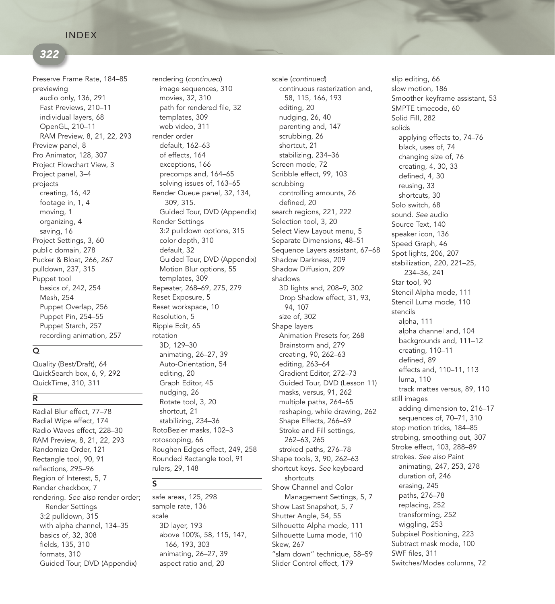## 322

Preserve Frame Rate, 184–85 previewing audio only, 136, 291 Fast Previews, 210–11 individual layers, 68 OpenGL, 210–11 RAM Preview, 8, 21, 22, 293 Preview panel, 8 Pro Animator, 128, 307 Project Flowchart View, 3 Project panel, 3–4 projects creating, 16, 42 footage in, 1, 4 moving, 1 organizing, 4 saving, 16 Project Settings, 3, 60 public domain, 278 Pucker & Bloat, 266, 267 pulldown, 237, 315 Puppet tool basics of, 242, 254 Mesh, 254 Puppet Overlap, 256 Puppet Pin, 254–55 Puppet Starch, 257 recording animation, 257

### Q

Quality (Best/Draft), 64 QuickSearch box, 6, 9, 292 QuickTime, 310, 311

### R

Radial Blur effect, 77–78 Radial Wipe effect, 174 Radio Waves effect, 228–30 RAM Preview, 8, 21, 22, 293 Randomize Order, 121 Rectangle tool, 90, 91 reflections, 295–96 Region of Interest, 5, 7 Render checkbox, 7 rendering. See also render order; Render Settings 3:2 pulldown, 315 with alpha channel, 134–35 basics of, 32, 308 fields, 135, 310 formats, 310 Guided Tour, DVD (Appendix)

image sequences, 310 movies, 32, 310 path for rendered file, 32 templates, 309 web video, 311 render order default, 162–63 of effects, 164 exceptions, 166 precomps and, 164–65 solving issues of, 163–65 Render Queue panel, 32, 134, 309, 315. Guided Tour, DVD (Appendix) Render Settings 3:2 pulldown options, 315 color depth, 310 default, 32 Guided Tour, DVD (Appendix) Motion Blur options, 55 templates, 309 Repeater, 268–69, 275, 279 Reset Exposure, 5 Reset workspace, 10 Resolution, 5 Ripple Edit, 65 rotation 3D, 129–30 animating, 26–27, 39 Auto-Orientation, 54 editing, 20 Graph Editor, 45 nudging, 26 Rotate tool, 3, 20 shortcut, 21 stabilizing, 234–36 RotoBezier masks, 102–3 rotoscoping, 66 Roughen Edges effect, 249, 258 Rounded Rectangle tool, 91 rulers, 29, 148 rendering (continued) scale (continued)

S

safe areas, 125, 298 sample rate, 136 scale 3D layer, 193 above 100%, 58, 115, 147, 166, 193, 303 animating, 26–27, 39 aspect ratio and, 20

continuous rasterization and, 58, 115, 166, 193 editing, 20 nudging, 26, 40 parenting and, 147 scrubbing, 26 shortcut, 21 stabilizing, 234–36 Screen mode, 72 Scribble effect, 99, 103 scrubbing controlling amounts, 26 defined, 20 search regions, 221, 222 Selection tool, 3, 20 Select View Layout menu, 5 Separate Dimensions, 48–51 Sequence Layers assistant, 67–68 Shadow Darkness, 209 Shadow Diffusion, 209 shadows 3D lights and, 208–9, 302 Drop Shadow effect, 31, 93, 94, 107 size of, 302 Shape layers Animation Presets for, 268 Brainstorm and, 279 creating, 90, 262–63 editing, 263–64 Gradient Editor, 272–73 Guided Tour, DVD (Lesson 11) masks, versus, 91, 262 multiple paths, 264–65 reshaping, while drawing, 262 Shape Effects, 266–69 Stroke and Fill settings, 262–63, 265 stroked paths, 276–78 Shape tools, 3, 90, 262–63 shortcut keys. See keyboard shortcuts Show Channel and Color Management Settings, 5, 7 Show Last Snapshot, 5, 7 Shutter Angle, 54, 55 Silhouette Alpha mode, 111 Silhouette Luma mode, 110 Skew, 267 "slam down" technique, 58–59 Slider Control effect, 179

slip editing, 66 slow motion, 186 Smoother keyframe assistant, 53 SMPTE timecode, 60 Solid Fill, 282 solids applying effects to, 74–76 black, uses of, 74 changing size of, 76 creating, 4, 30, 33 defined, 4, 30 reusing, 33 shortcuts, 30 Solo switch, 68 sound. See audio Source Text, 140 speaker icon, 136 Speed Graph, 46 Spot lights, 206, 207 stabilization, 220, 221–25, 234–36, 241 Star tool, 90 Stencil Alpha mode, 111 Stencil Luma mode, 110 stencils alpha, 111 alpha channel and, 104 backgrounds and, 111–12 creating, 110–11 defined, 89 effects and, 110–11, 113 luma, 110 track mattes versus, 89, 110 still images adding dimension to, 216–17 sequences of, 70–71, 310 stop motion tricks, 184–85 strobing, smoothing out, 307 Stroke effect, 103, 288–89 strokes. See also Paint animating, 247, 253, 278 duration of, 246 erasing, 245 paths, 276–78 replacing, 252 transforming, 252 wiggling, 253 Subpixel Positioning, 223 Subtract mask mode, 100 SWF files, 311 Switches/Modes columns, 72